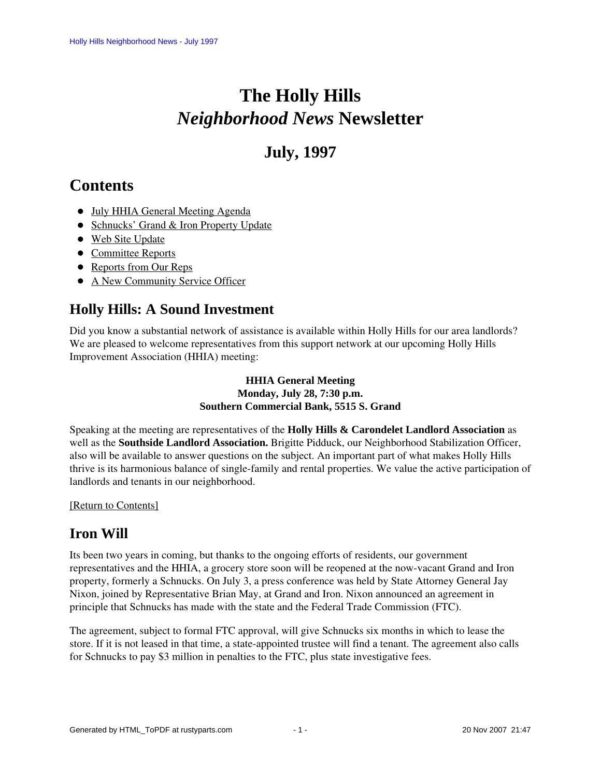# **The Holly Hills**  *Neighborhood News* **Newsletter**

# **July, 1997**

# <span id="page-0-2"></span>**Contents**

- [July HHIA General Meeting Agenda](#page-0-0)
- [Schnucks' Grand & Iron Property Update](#page-0-1)
- [Web Site Update](#page-1-0)
- [Committee Reports](#page-1-1)
- [Reports from Our Reps](#page-3-0)
- [A New Community Service Officer](#page-4-0)

## <span id="page-0-0"></span>**Holly Hills: A Sound Investment**

Did you know a substantial network of assistance is available within Holly Hills for our area landlords? We are pleased to welcome representatives from this support network at our upcoming Holly Hills Improvement Association (HHIA) meeting:

#### **HHIA General Meeting Monday, July 28, 7:30 p.m. Southern Commercial Bank, 5515 S. Grand**

Speaking at the meeting are representatives of the **Holly Hills & Carondelet Landlord Association** as well as the **Southside Landlord Association.** Brigitte Pidduck, our Neighborhood Stabilization Officer, also will be available to answer questions on the subject. An important part of what makes Holly Hills thrive is its harmonious balance of single-family and rental properties. We value the active participation of landlords and tenants in our neighborhood.

#### <span id="page-0-1"></span>[\[Return to Contents\]](#page-0-2)

# **Iron Will**

Its been two years in coming, but thanks to the ongoing efforts of residents, our government representatives and the HHIA, a grocery store soon will be reopened at the now-vacant Grand and Iron property, formerly a Schnucks. On July 3, a press conference was held by State Attorney General Jay Nixon, joined by Representative Brian May, at Grand and Iron. Nixon announced an agreement in principle that Schnucks has made with the state and the Federal Trade Commission (FTC).

The agreement, subject to formal FTC approval, will give Schnucks six months in which to lease the store. If it is not leased in that time, a state-appointed trustee will find a tenant. The agreement also calls for Schnucks to pay \$3 million in penalties to the FTC, plus state investigative fees.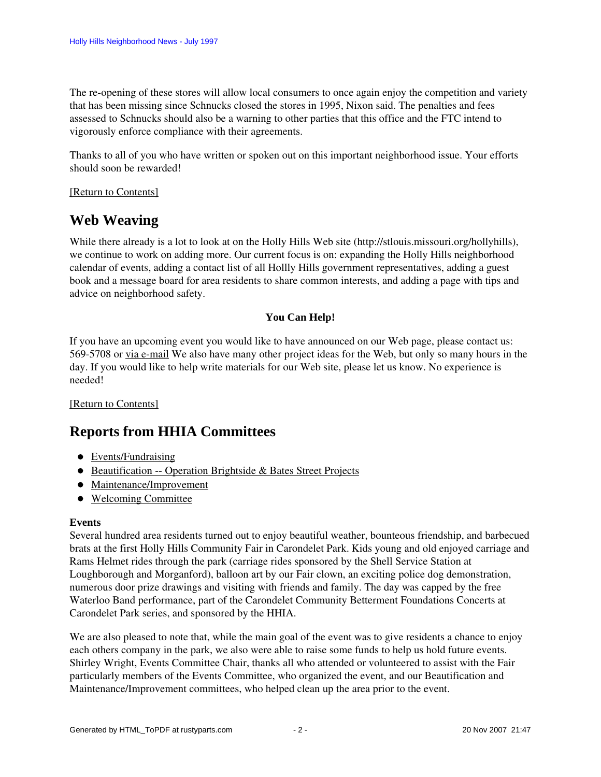The re-opening of these stores will allow local consumers to once again enjoy the competition and variety that has been missing since Schnucks closed the stores in 1995, Nixon said. The penalties and fees assessed to Schnucks should also be a warning to other parties that this office and the FTC intend to vigorously enforce compliance with their agreements.

Thanks to all of you who have written or spoken out on this important neighborhood issue. Your efforts should soon be rewarded!

#### <span id="page-1-0"></span>[\[Return to Contents\]](#page-0-2)

### **Web Weaving**

While there already is a lot to look at on the Holly Hills Web site (http://stlouis.missouri.org/hollyhills), we continue to work on adding more. Our current focus is on: expanding the Holly Hills neighborhood calendar of events, adding a contact list of all Hollly Hills government representatives, adding a guest book and a message board for area residents to share common interests, and adding a page with tips and advice on neighborhood safety.

#### **You Can Help!**

If you have an upcoming event you would like to have announced on our Web page, please contact us: 569-5708 or via e-mail We also have many other project ideas for the Web, but only so many hours in the day. If you would like to help write materials for our Web site, please let us know. No experience is needed!

#### <span id="page-1-1"></span>[\[Return to Contents\]](#page-0-2)

### <span id="page-1-3"></span>**Reports from HHIA Committees**

- [Events/Fundraising](#page-1-2)
- [Beautification -- Operation Brightside & Bates Street Projects](#page-2-0)
- [Maintenance/Improvement](#page-3-1)
- [Welcoming Committee](#page-3-2)

#### <span id="page-1-2"></span>**Events**

Several hundred area residents turned out to enjoy beautiful weather, bounteous friendship, and barbecued brats at the first Holly Hills Community Fair in Carondelet Park. Kids young and old enjoyed carriage and Rams Helmet rides through the park (carriage rides sponsored by the Shell Service Station at Loughborough and Morganford), balloon art by our Fair clown, an exciting police dog demonstration, numerous door prize drawings and visiting with friends and family. The day was capped by the free Waterloo Band performance, part of the Carondelet Community Betterment Foundations Concerts at Carondelet Park series, and sponsored by the HHIA.

We are also pleased to note that, while the main goal of the event was to give residents a chance to enjoy each others company in the park, we also were able to raise some funds to help us hold future events. Shirley Wright, Events Committee Chair, thanks all who attended or volunteered to assist with the Fair particularly members of the Events Committee, who organized the event, and our Beautification and Maintenance/Improvement committees, who helped clean up the area prior to the event.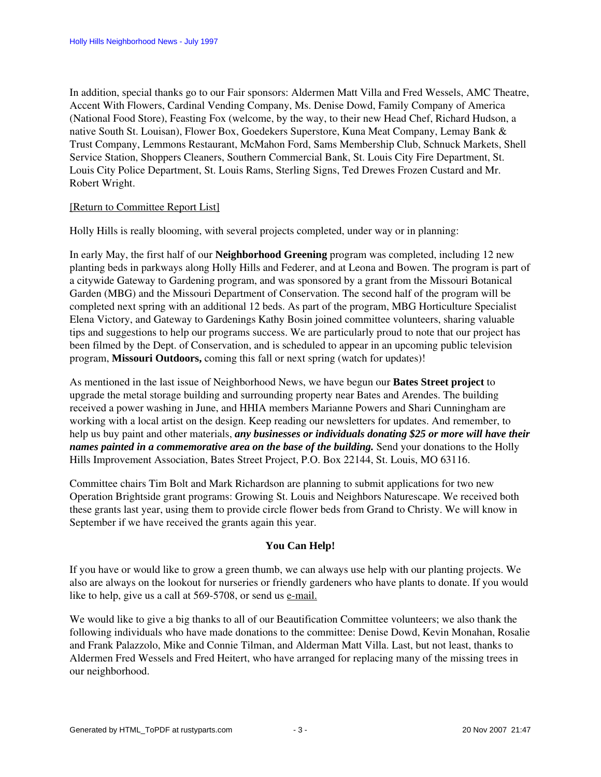In addition, special thanks go to our Fair sponsors: Aldermen Matt Villa and Fred Wessels, AMC Theatre, Accent With Flowers, Cardinal Vending Company, Ms. Denise Dowd, Family Company of America (National Food Store), Feasting Fox (welcome, by the way, to their new Head Chef, Richard Hudson, a native South St. Louisan), Flower Box, Goedekers Superstore, Kuna Meat Company, Lemay Bank & Trust Company, Lemmons Restaurant, McMahon Ford, Sams Membership Club, Schnuck Markets, Shell Service Station, Shoppers Cleaners, Southern Commercial Bank, St. Louis City Fire Department, St. Louis City Police Department, St. Louis Rams, Sterling Signs, Ted Drewes Frozen Custard and Mr. Robert Wright.

#### [\[Return to Committee Report List\]](#page-1-3)

<span id="page-2-0"></span>Holly Hills is really blooming, with several projects completed, under way or in planning:

In early May, the first half of our **Neighborhood Greening** program was completed, including 12 new planting beds in parkways along Holly Hills and Federer, and at Leona and Bowen. The program is part of a citywide Gateway to Gardening program, and was sponsored by a grant from the Missouri Botanical Garden (MBG) and the Missouri Department of Conservation. The second half of the program will be completed next spring with an additional 12 beds. As part of the program, MBG Horticulture Specialist Elena Victory, and Gateway to Gardenings Kathy Bosin joined committee volunteers, sharing valuable tips and suggestions to help our programs success. We are particularly proud to note that our project has been filmed by the Dept. of Conservation, and is scheduled to appear in an upcoming public television program, **Missouri Outdoors,** coming this fall or next spring (watch for updates)!

As mentioned in the last issue of Neighborhood News, we have begun our **Bates Street project** to upgrade the metal storage building and surrounding property near Bates and Arendes. The building received a power washing in June, and HHIA members Marianne Powers and Shari Cunningham are working with a local artist on the design. Keep reading our newsletters for updates. And remember, to help us buy paint and other materials, *any businesses or individuals donating \$25 or more will have their names painted in a commemorative area on the base of the building.* Send your donations to the Holly Hills Improvement Association, Bates Street Project, P.O. Box 22144, St. Louis, MO 63116.

Committee chairs Tim Bolt and Mark Richardson are planning to submit applications for two new Operation Brightside grant programs: Growing St. Louis and Neighbors Naturescape. We received both these grants last year, using them to provide circle flower beds from Grand to Christy. We will know in September if we have received the grants again this year.

#### **You Can Help!**

If you have or would like to grow a green thumb, we can always use help with our planting projects. We also are always on the lookout for nurseries or friendly gardeners who have plants to donate. If you would like to help, give us a call at 569-5708, or send us e-mail.

We would like to give a big thanks to all of our Beautification Committee volunteers; we also thank the following individuals who have made donations to the committee: Denise Dowd, Kevin Monahan, Rosalie and Frank Palazzolo, Mike and Connie Tilman, and Alderman Matt Villa. Last, but not least, thanks to Aldermen Fred Wessels and Fred Heitert, who have arranged for replacing many of the missing trees in our neighborhood.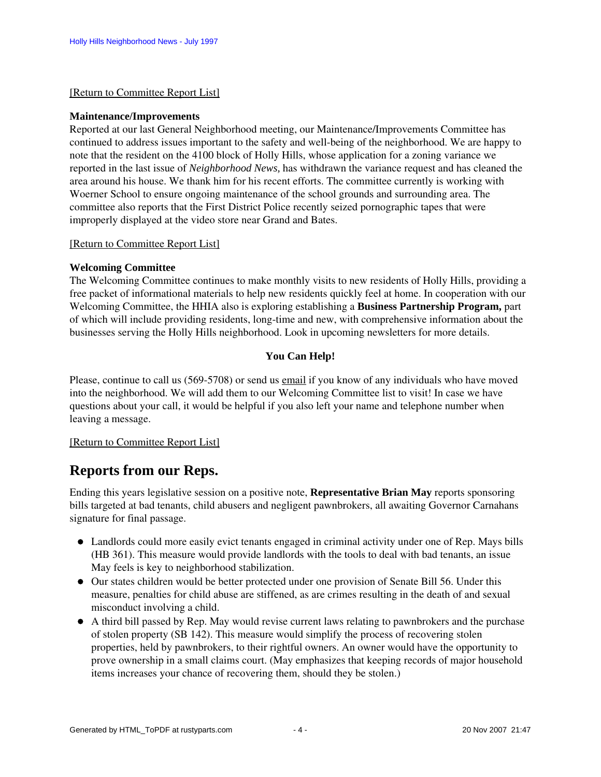#### [\[Return to Committee Report List\]](#page-1-3)

#### <span id="page-3-1"></span>**Maintenance/Improvements**

Reported at our last General Neighborhood meeting, our Maintenance/Improvements Committee has continued to address issues important to the safety and well-being of the neighborhood. We are happy to note that the resident on the 4100 block of Holly Hills, whose application for a zoning variance we reported in the last issue of *Neighborhood News,* has withdrawn the variance request and has cleaned the area around his house. We thank him for his recent efforts. The committee currently is working with Woerner School to ensure ongoing maintenance of the school grounds and surrounding area. The committee also reports that the First District Police recently seized pornographic tapes that were improperly displayed at the video store near Grand and Bates.

#### [\[Return to Committee Report List\]](#page-1-3)

#### <span id="page-3-2"></span>**Welcoming Committee**

The Welcoming Committee continues to make monthly visits to new residents of Holly Hills, providing a free packet of informational materials to help new residents quickly feel at home. In cooperation with our Welcoming Committee, the HHIA also is exploring establishing a **Business Partnership Program,** part of which will include providing residents, long-time and new, with comprehensive information about the businesses serving the Holly Hills neighborhood. Look in upcoming newsletters for more details.

#### **You Can Help!**

Please, continue to call us (569-5708) or send us email if you know of any individuals who have moved into the neighborhood. We will add them to our Welcoming Committee list to visit! In case we have questions about your call, it would be helpful if you also left your name and telephone number when leaving a message.

#### [\[Return to Committee Report List\]](#page-1-3)

### <span id="page-3-0"></span>**Reports from our Reps.**

Ending this years legislative session on a positive note, **Representative Brian May** reports sponsoring bills targeted at bad tenants, child abusers and negligent pawnbrokers, all awaiting Governor Carnahans signature for final passage.

- Landlords could more easily evict tenants engaged in criminal activity under one of Rep. Mays bills (HB 361). This measure would provide landlords with the tools to deal with bad tenants, an issue May feels is key to neighborhood stabilization.
- Our states children would be better protected under one provision of Senate Bill 56. Under this measure, penalties for child abuse are stiffened, as are crimes resulting in the death of and sexual misconduct involving a child.
- A third bill passed by Rep. May would revise current laws relating to pawnbrokers and the purchase of stolen property (SB 142). This measure would simplify the process of recovering stolen properties, held by pawnbrokers, to their rightful owners. An owner would have the opportunity to prove ownership in a small claims court. (May emphasizes that keeping records of major household items increases your chance of recovering them, should they be stolen.)